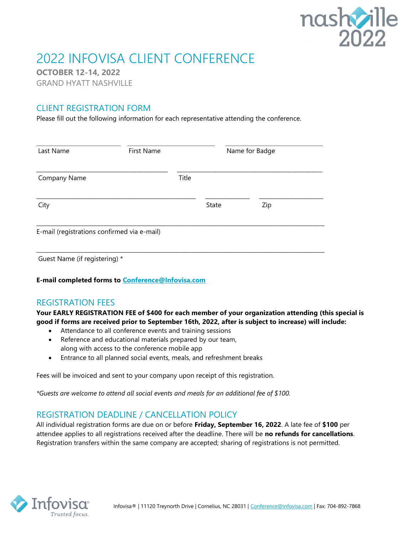

# 2022 INFOVISA CLIENT CONFERENCE

OCTOBER 12-14, 2022

GRAND HYATT NASHVILLE

## CLIENT REGISTRATION FORM

Please fill out the following information for each representative attending the conference.

| Last Name                                   | First Name | Name for Badge |       |     |  |
|---------------------------------------------|------------|----------------|-------|-----|--|
| Company Name                                |            | Title          |       |     |  |
| City                                        |            |                | State | Zip |  |
| E-mail (registrations confirmed via e-mail) |            |                |       |     |  |

Guest Name (if registering) \*

E-mail completed forms to Conference@Infovisa.com

#### REGISTRATION FEES

Your EARLY REGISTRATION FEE of \$400 for each member of your organization attending (this special is good if forms are received prior to September 16th, 2022, after is subject to increase) will include:

- Attendance to all conference events and training sessions
- Reference and educational materials prepared by our team, along with access to the conference mobile app
- Entrance to all planned social events, meals, and refreshment breaks

Fees will be invoiced and sent to your company upon receipt of this registration.

\*Guests are welcome to attend all social events and meals for an additional fee of \$100.

## REGISTRATION DEADLINE / CANCELLATION POLICY

All individual registration forms are due on or before Friday, September 16, 2022. A late fee of \$100 per attendee applies to all registrations received after the deadline. There will be no refunds for cancellations. Registration transfers within the same company are accepted; sharing of registrations is not permitted.